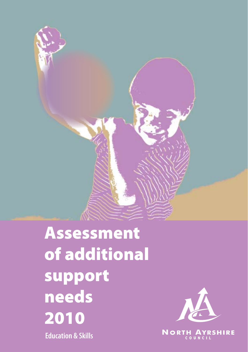

Assessment of additional support needs 2010 **Education & Skills**



**NORTH AYRSHIRE**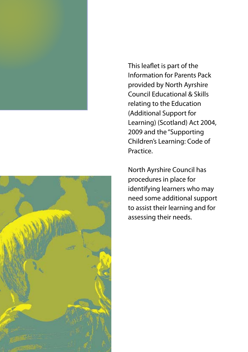This leaflet is part of the Information for Parents Pack provided by North Ayrshire Council Educational & Skills relating to the Education (Additional Support for Learning) (Scotland) Act 2004, 2009 and the "Supporting Children's Learning: Code of Practice.

North Ayrshire Council has procedures in place for identifying learners who may need some additional support to assist their learning and for assessing their needs.

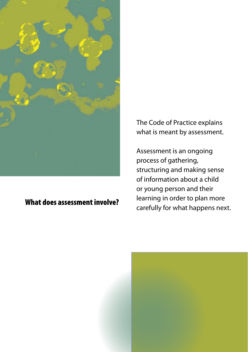

### What does assessment involve?

The Code of Practice explains what is meant by assessment.

Assessment is an ongoing process of gathering, structuring and making sense of information about a child or young person and their learning in order to plan more carefully for what happens next.

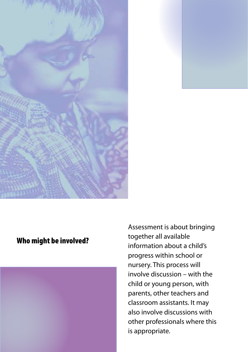

#### Who might be involved?



Assessment is about bringing together all available information about a child's progress within school or nursery. This process will involve discussion – with the child or young person, with parents, other teachers and classroom assistants. It may also involve discussions with other professionals where this is appropriate.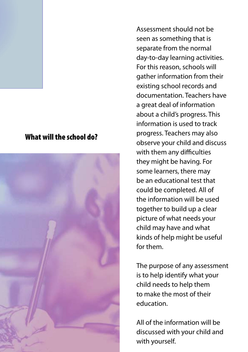#### What will the school do?



Assessment should not be seen as something that is separate from the normal day-to-day learning activities. For this reason, schools will gather information from their existing school records and documentation. Teachers have a great deal of information about a child's progress. This information is used to track progress. Teachers may also observe your child and discuss with them any difficulties they might be having. For some learners, there may be an educational test that could be completed. All of the information will be used together to build up a clear picture of what needs your child may have and what kinds of help might be useful for them.

The purpose of any assessment is to help identify what your child needs to help them to make the most of their education.

All of the information will be discussed with your child and with yourself.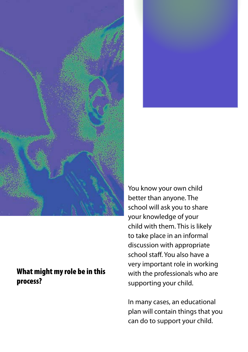



#### What might my role be in this process?

You know your own child better than anyone. The school will ask you to share your knowledge of your child with them. This is likely to take place in an informal discussion with appropriate school staff. You also have a very important role in working with the professionals who are supporting your child.

In many cases, an educational plan will contain things that you can do to support your child.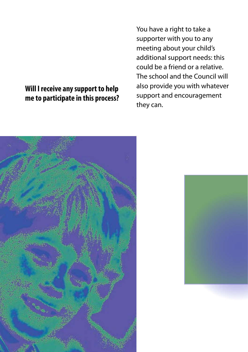### **Will I receive any support to help me to participate in this process?**

You have a right to take a supporter with you to any meeting about your child's additional support needs: this could be a friend or a relative. The school and the Council will also provide you with whatever support and encouragement they can.



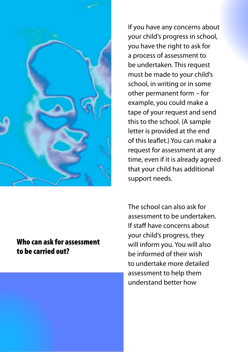

If you have any concerns about your child's progress in school, you have the right to ask for a process of assessment to be undertaken. This request must be made to your child's school, in writing or in some other permanent form – for example, you could make a tape of your request and send this to the school. (A sample letter is provided at the end of this leaflet.) You can make a request for assessment at any time, even if it is already agreed that your child has additional support needs.

#### Who can ask for assessment to be carried out?

The school can also ask for assessment to be undertaken. If staff have concerns about your child's progress, they will inform you. You will also be informed of their wish to undertake more detailed assessment to help them understand better how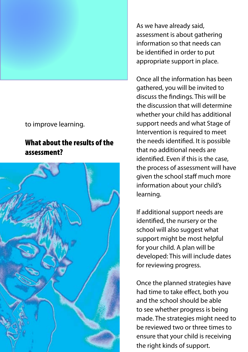

to improve learning.

#### What about the results of the assessment?



As we have already said, assessment is about gathering information so that needs can be identified in order to put appropriate support in place.

Once all the information has been gathered, you will be invited to discuss the findings. This will be the discussion that will determine whether your child has additional support needs and what Stage of Intervention is required to meet the needs identified. It is possible that no additional needs are identified. Even if this is the case, the process of assessment will have given the school staff much more information about your child's learning.

If additional support needs are identified, the nursery or the school will also suggest what support might be most helpful for your child. A plan will be developed: This will include dates for reviewing progress.

Once the planned strategies have had time to take effect, both you and the school should be able to see whether progress is being made. The strategies might need to be reviewed two or three times to ensure that your child is receiving the right kinds of support.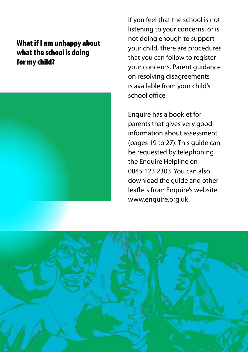# What if I am unhappy about what the school is doing for my child?



If you feel that the school is not listening to your concerns, or is not doing enough to support your child, there are procedures that you can follow to register your concerns. Parent guidance on resolving disagreements is available from your child's school office.

Enquire has a booklet for parents that gives very good information about assessment (pages 19 to 27). This guide can be requested by telephoning the Enquire Helpline on 0845 123 2303. You can also download the guide and other leaflets from Enquire's website www.enquire.org.uk

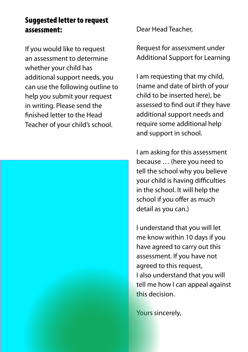### Suggested letter to request assessment:

If you would like to request an assessment to determine whether your child has additional support needs, you can use the following outline to help you submit your request in writing. Please send the finished letter to the Head Teacher of your child's school.



Dear Head Teacher,

Request for assessment under Additional Support for Learning

I am requesting that my child, (name and date of birth of your child to be inserted here), be assessed to find out if they have additional support needs and require some additional help and support in school.

I am asking for this assessment because … (here you need to tell the school why you believe your child is having difficulties in the school. It will help the school if you offer as much detail as you can.)

I understand that you will let me know within 10 days if you have agreed to carry out this assessment. If you have not agreed to this request, I also understand that you will tell me how I can appeal against this decision.

Yours sincerely,